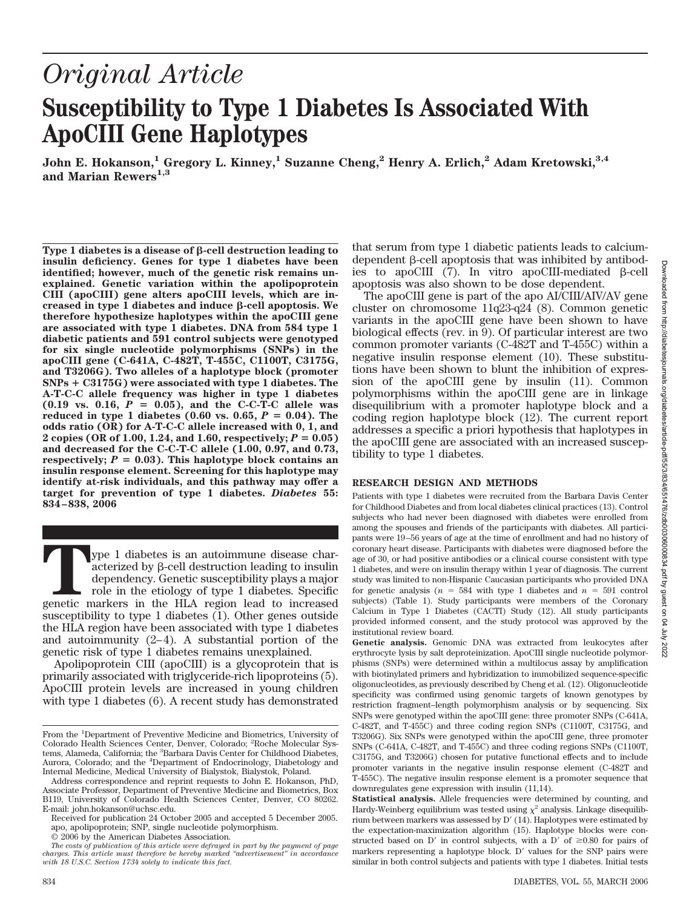# *Original Article* **Susceptibility to Type 1 Diabetes Is Associated With ApoCIII Gene Haplotypes**

**John E. Hokanson,1 Gregory L. Kinney,1 Suzanne Cheng,2 Henry A. Erlich,2 Adam Kretowski,3,4** and Marian Rewers<sup>1,3</sup>

Type 1 diabetes is a disease of  $\beta$ -cell destruction leading to **insulin deficiency. Genes for type 1 diabetes have been identified; however, much of the genetic risk remains unexplained. Genetic variation within the apolipoprotein CIII (apoCIII) gene alters apoCIII levels, which are in**creased in type 1 diabetes and induce *B*-cell apoptosis. We **therefore hypothesize haplotypes within the apoCIII gene are associated with type 1 diabetes. DNA from 584 type 1 diabetic patients and 591 control subjects were genotyped for six single nucleotide polymorphisms (SNPs) in the apoCIII gene (C-641A, C-482T, T-455C, C1100T, C3175G, and T3206G). Two alleles of a haplotype block (promoter SNPs** - **C3175G) were associated with type 1 diabetes. The A-T-C-C allele frequency was higher in type 1 diabetes**  $(0.19 \text{ vs. } 0.16, P = 0.05)$ , and the C-C-T-C allele was **reduced in type 1 diabetes (0.60 vs. 0.65,**  $P = 0.04$ **). The odds ratio (OR) for A-T-C-C allele increased with 0, 1, and 2** copies (OR of 1.00, 1.24, and 1.60, respectively;  $P = 0.05$ ) **and decreased for the C-C-T-C allele (1.00, 0.97, and 0.73, respectively;**  $P = 0.03$ . This haplotype block contains an **insulin response element. Screening for this haplotype may identify at-risk individuals, and this pathway may offer a target for prevention of type 1 diabetes.** *Diabetes* **55: 834 – 838, 2006**

**The 1** diabetes is an autoimmune disease characterized by  $\beta$ -cell destruction leading to insulin dependency. Genetic susceptibility plays a major role in the etiology of type 1 diabetes. Specific genetic markers in the acterized by  $\beta$ -cell destruction leading to insulin dependency. Genetic susceptibility plays a major role in the etiology of type 1 diabetes. Specific susceptibility to type 1 diabetes (1). Other genes outside the HLA region have been associated with type 1 diabetes and autoimmunity  $(2-4)$ . A substantial portion of the genetic risk of type 1 diabetes remains unexplained.

Apolipoprotein CIII (apoCIII) is a glycoprotein that is primarily associated with triglyceride-rich lipoproteins (5). ApoCIII protein levels are increased in young children with type 1 diabetes (6). A recent study has demonstrated that serum from type 1 diabetic patients leads to calciumdependent  $\beta$ -cell apoptosis that was inhibited by antibodies to apoCIII  $(7)$ . In vitro apoCIII-mediated  $\beta$ -cell apoptosis was also shown to be dose dependent.

The apoCIII gene is part of the apo AI/CIII/AIV/AV gene cluster on chromosome 11q23-q24 (8). Common genetic variants in the apoCIII gene have been shown to have biological effects (rev. in 9). Of particular interest are two common promoter variants (C-482T and T-455C) within a negative insulin response element (10). These substitutions have been shown to blunt the inhibition of expression of the apoCIII gene by insulin (11). Common polymorphisms within the apoCIII gene are in linkage disequilibrium with a promoter haplotype block and a coding region haplotype block (12). The current report addresses a specific a priori hypothesis that haplotypes in the apoCIII gene are associated with an increased susceptibility to type 1 diabetes.

# **RESEARCH DESIGN AND METHODS**

Patients with type 1 diabetes were recruited from the Barbara Davis Center for Childhood Diabetes and from local diabetes clinical practices (13). Control subjects who had never been diagnosed with diabetes were enrolled from among the spouses and friends of the participants with diabetes. All participants were 19 –56 years of age at the time of enrollment and had no history of coronary heart disease. Participants with diabetes were diagnosed before the age of 30, or had positive antibodies or a clinical course consistent with type 1 diabetes, and were on insulin therapy within 1 year of diagnosis. The current study was limited to non-Hispanic Caucasian participants who provided DNA for genetic analysis  $(n = 584$  with type 1 diabetes and  $n = 591$  control subjects) (Table 1). Study participants were members of the Coronary Calcium in Type 1 Diabetes (CACTI) Study (12). All study participants provided informed consent, and the study protocol was approved by the institutional review board.

**Genetic analysis.** Genomic DNA was extracted from leukocytes after erythrocyte lysis by salt deproteinization. ApoCIII single nucleotide polymorphisms (SNPs) were determined within a multilocus assay by amplification with biotinylated primers and hybridization to immobilized sequence-specific oligonucleotides, as previously described by Cheng et al. (12). Oligonucleotide specificity was confirmed using genomic targets of known genotypes by restriction fragment–length polymorphism analysis or by sequencing. Six SNPs were genotyped within the apoCIII gene: three promoter SNPs (C-641A, C-482T, and T-455C) and three coding region SNPs (C1100T, C3175G, and T3206G). Six SNPs were genotyped within the apoCIII gene, three promoter SNPs (C-641A, C-482T, and T-455C) and three coding regions SNPs (C1100T, C3175G, and T3206G) chosen for putative functional effects and to include promoter variants in the negative insulin response element (C-482T and T-455C). The negative insulin response element is a promoter sequence that downregulates gene expression with insulin (11,14).

From the <sup>1</sup>Department of Preventive Medicine and Biometrics, University of Colorado Health Sciences Center, Denver, Colorado; <sup>2</sup> Roche Molecular Systems, Alameda, California; the <sup>3</sup>Barbara Davis Center for Childhood Diabetes, Aurora, Colorado; and the <sup>4</sup>Department of Endocrinology, Diabetology and Internal Medicine, Medical University of Bialystok, Bialystok, Poland.

Address correspondence and reprint requests to John E. Hokanson, PhD, Associate Professor, Department of Preventive Medicine and Biometrics, Box B119, University of Colorado Health Sciences Center, Denver, CO 80262. E-mail: john.hokanson@uchsc.edu.

Received for publication 24 October 2005 and accepted 5 December 2005. apo, apolipoprotein; SNP, single nucleotide polymorphism.

<sup>© 2006</sup> by the American Diabetes Association.

*The costs of publication of this article were defrayed in part by the payment of page charges. This article must therefore be hereby marked "advertisement" in accordance with 18 U.S.C. Section 1734 solely to indicate this fact.*

**Statistical analysis.** Allele frequencies were determined by counting, and Hardy-Weinberg equilibrium was tested using  $\chi^2$  analysis. Linkage disequilibrium between markers was assessed by D' (14). Haplotypes were estimated by the expectation-maximization algorithm (15). Haplotype blocks were constructed based on D' in control subjects, with a D' of  $\geq 0.80$  for pairs of markers representing a haplotype block. D' values for the SNP pairs were similar in both control subjects and patients with type 1 diabetes. Initial tests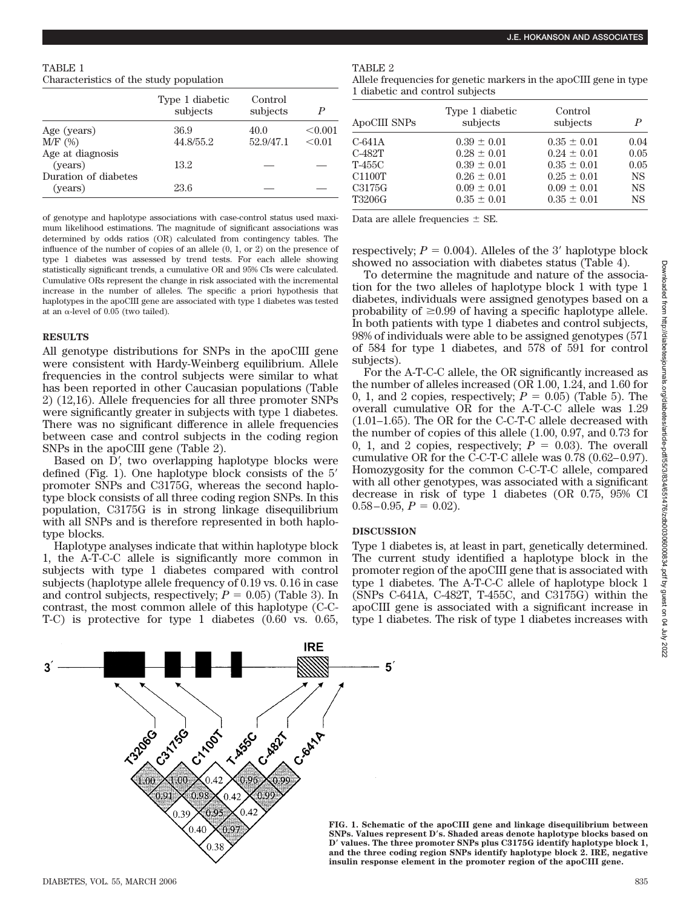| TABLE 1                                 |  |  |  |
|-----------------------------------------|--|--|--|
| Characteristics of the study population |  |  |  |

|                      | Type 1 diabetic<br>subjects | Control<br>subjects | P       |
|----------------------|-----------------------------|---------------------|---------|
| Age (years)          | 36.9                        | 40.0                | < 0.001 |
| $M/F$ (%)            | 44.8/55.2                   | 52.9/47.1           | < 0.01  |
| Age at diagnosis     |                             |                     |         |
| (vears)              | 13.2                        |                     |         |
| Duration of diabetes |                             |                     |         |
| (years)              | 23.6                        |                     |         |

of genotype and haplotype associations with case-control status used maximum likelihood estimations. The magnitude of significant associations was determined by odds ratios (OR) calculated from contingency tables. The influence of the number of copies of an allele (0, 1, or 2) on the presence of type 1 diabetes was assessed by trend tests. For each allele showing statistically significant trends, a cumulative OR and 95% CIs were calculated. Cumulative ORs represent the change in risk associated with the incremental increase in the number of alleles. The specific a priori hypothesis that haplotypes in the apoCIII gene are associated with type 1 diabetes was tested at an  $\alpha$ -level of 0.05 (two tailed).

## **RESULTS**

All genotype distributions for SNPs in the apoCIII gene were consistent with Hardy-Weinberg equilibrium. Allele frequencies in the control subjects were similar to what has been reported in other Caucasian populations (Table 2) (12,16). Allele frequencies for all three promoter SNPs were significantly greater in subjects with type 1 diabetes. There was no significant difference in allele frequencies between case and control subjects in the coding region SNPs in the apoCIII gene (Table 2).

Based on D', two overlapping haplotype blocks were defined (Fig. 1). One haplotype block consists of the 5 promoter SNPs and C3175G, whereas the second haplotype block consists of all three coding region SNPs. In this population, C3175G is in strong linkage disequilibrium with all SNPs and is therefore represented in both haplotype blocks.

Haplotype analyses indicate that within haplotype block 1, the A-T-C-C allele is significantly more common in subjects with type 1 diabetes compared with control subjects (haplotype allele frequency of 0.19 vs. 0.16 in case and control subjects, respectively;  $P = 0.05$ ) (Table 3). In contrast, the most common allele of this haplotype (C-C-T-C) is protective for type 1 diabetes (0.60 vs. 0.65,

TABLE 2

Allele frequencies for genetic markers in the apoCIII gene in type 1 diabetic and control subjects

| ApoCIII SNPs | Type 1 diabetic<br>subjects | Control<br>subjects | P         |
|--------------|-----------------------------|---------------------|-----------|
| C-641A       | $0.39 \pm 0.01$             | $0.35 \pm 0.01$     | 0.04      |
| C-482T       | $0.28 \pm 0.01$             | $0.24 \pm 0.01$     | 0.05      |
| T-455C       | $0.39 \pm 0.01$             | $0.35 \pm 0.01$     | 0.05      |
| C1100T       | $0.26 \pm 0.01$             | $0.25 \pm 0.01$     | <b>NS</b> |
| C3175G       | $0.09 \pm 0.01$             | $0.09 \pm 0.01$     | <b>NS</b> |
| T3206G       | $0.35 \pm 0.01$             | $0.35 \pm 0.01$     | <b>NS</b> |

Data are allele frequencies  $\pm$  SE.

respectively;  $P = 0.004$ ). Alleles of the 3' haplotype block showed no association with diabetes status (Table 4).

To determine the magnitude and nature of the association for the two alleles of haplotype block 1 with type 1 diabetes, individuals were assigned genotypes based on a probability of  $\geq 0.99$  of having a specific haplotype allele. In both patients with type 1 diabetes and control subjects, 98% of individuals were able to be assigned genotypes (571 of 584 for type 1 diabetes, and 578 of 591 for control subjects).

For the A-T-C-C allele, the OR significantly increased as the number of alleles increased (OR 1.00, 1.24, and 1.60 for 0, 1, and 2 copies, respectively;  $P = 0.05$ ) (Table 5). The overall cumulative OR for the A-T-C-C allele was 1.29 (1.01–1.65). The OR for the C-C-T-C allele decreased with the number of copies of this allele (1.00, 0.97, and 0.73 for 0, 1, and 2 copies, respectively;  $P = 0.03$ ). The overall cumulative OR for the C-C-T-C allele was 0.78 (0.62– 0.97). Homozygosity for the common C-C-T-C allele, compared with all other genotypes, was associated with a significant decrease in risk of type 1 diabetes (OR 0.75, 95% CI  $0.58 - 0.95$ ,  $P = 0.02$ ).

# **DISCUSSION**

Type 1 diabetes is, at least in part, genetically determined. The current study identified a haplotype block in the promoter region of the apoCIII gene that is associated with type 1 diabetes. The A-T-C-C allele of haplotype block 1 (SNPs C-641A, C-482T, T-455C, and C3175G) within the apoCIII gene is associated with a significant increase in type 1 diabetes. The risk of type 1 diabetes increases with

**IRE**  $\mathbf{5}$ ્ર Criton **TASSO** C.Ash 0.42 0.95 0.39 0.40  $0.40$ 

**FIG. 1. Schematic of the apoCIII gene and linkage disequilibrium between SNPs. Values represent Ds. Shaded areas denote haplotype blocks based on D values. The three promoter SNPs plus C3175G identify haplotype block 1, and the three coding region SNPs identify haplotype block 2. IRE, negative insulin response element in the promoter region of the apoCIII gene.**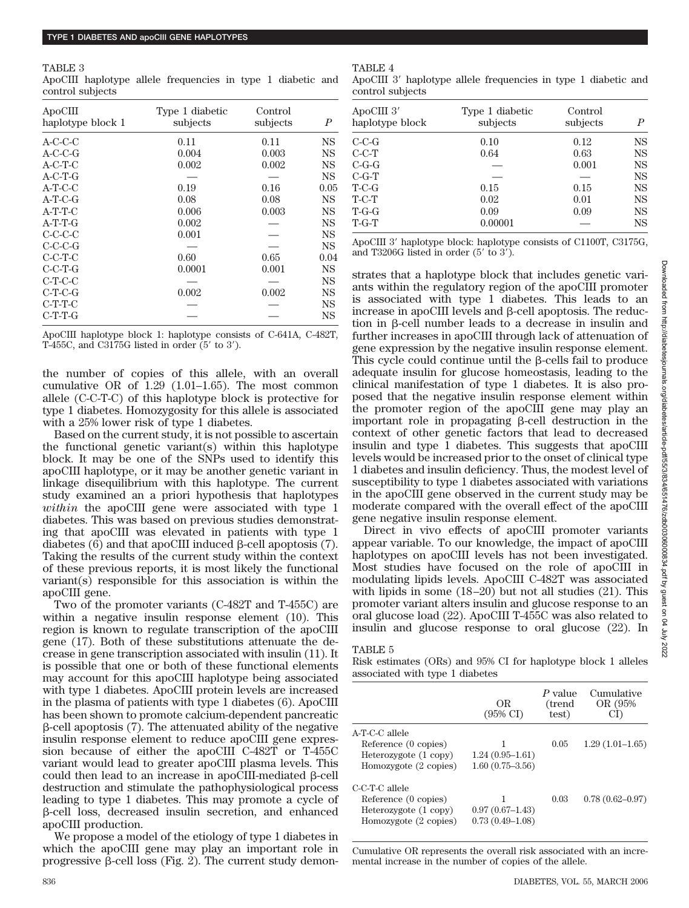#### TABLE 3

ApoCIII haplotype allele frequencies in type 1 diabetic and control subjects

| ApoCIII<br>haplotype block 1 | Type 1 diabetic<br>subjects | Control<br>subjects | $\boldsymbol{P}$ |
|------------------------------|-----------------------------|---------------------|------------------|
| $A-C-C-C$                    | 0.11                        | 0.11                | NS               |
| $A-C-C-G$                    | 0.004                       | 0.003               | <b>NS</b>        |
| $A-C-T-C$                    | 0.002                       | 0.002               | <b>NS</b>        |
| $A-C-T-G$                    |                             |                     | NS               |
| $A-T-C-C$                    | 0.19                        | 0.16                | 0.05             |
| $A-T-C-G$                    | 0.08                        | 0.08                | <b>NS</b>        |
| $A-T-T-C$                    | 0.006                       | 0.003               | NS               |
| $A-T-T-G$                    | 0.002                       |                     | <b>NS</b>        |
| $C-C-C-C$                    | 0.001                       |                     | <b>NS</b>        |
| $C-C-C-G$                    |                             |                     | <b>NS</b>        |
| $C-C-T-C$                    | 0.60                        | 0.65                | 0.04             |
| $C-C-T-G$                    | 0.0001                      | 0.001               | NS               |
| $C-T-C-C$                    |                             |                     | NS               |
| $C-T-C-G$                    | 0.002                       | 0.002               | <b>NS</b>        |
| $C-T-T-C$                    |                             |                     | <b>NS</b>        |
| $C-T-T-G$                    |                             |                     | <b>NS</b>        |

ApoCIII haplotype block 1: haplotype consists of C-641A, C-482T, T-455C, and C3175G listed in order  $(5'$  to 3').

the number of copies of this allele, with an overall cumulative OR of 1.29 (1.01–1.65). The most common allele (C-C-T-C) of this haplotype block is protective for type 1 diabetes. Homozygosity for this allele is associated with a 25% lower risk of type 1 diabetes.

Based on the current study, it is not possible to ascertain the functional genetic variant(s) within this haplotype block. It may be one of the SNPs used to identify this apoCIII haplotype, or it may be another genetic variant in linkage disequilibrium with this haplotype. The current study examined an a priori hypothesis that haplotypes *within* the apoCIII gene were associated with type 1 diabetes. This was based on previous studies demonstrating that apoCIII was elevated in patients with type 1 diabetes  $(6)$  and that apoCIII induced  $\beta$ -cell apoptosis  $(7)$ . Taking the results of the current study within the context of these previous reports, it is most likely the functional variant(s) responsible for this association is within the apoCIII gene.

Two of the promoter variants (C-482T and T-455C) are within a negative insulin response element (10). This region is known to regulate transcription of the apoCIII gene (17). Both of these substitutions attenuate the decrease in gene transcription associated with insulin (11). It is possible that one or both of these functional elements may account for this apoCIII haplotype being associated with type 1 diabetes. ApoCIII protein levels are increased in the plasma of patients with type 1 diabetes (6). ApoCIII has been shown to promote calcium-dependent pancreatic  $\beta$ -cell apoptosis (7). The attenuated ability of the negative insulin response element to reduce apoCIII gene expression because of either the apoCIII C-482T or T-455C variant would lead to greater apoCIII plasma levels. This could then lead to an increase in apoCIII-mediated  $\beta$ -cell destruction and stimulate the pathophysiological process leading to type 1 diabetes. This may promote a cycle of  $\beta$ -cell loss, decreased insulin secretion, and enhanced apoCIII production.

We propose a model of the etiology of type 1 diabetes in which the apoCIII gene may play an important role in progressive  $\beta$ -cell loss (Fig. 2). The current study demon-

## TABLE 4

ApoCIII 3' haplotype allele frequencies in type 1 diabetic and control subjects

| ApoCIII 3'<br>haplotype block | Type 1 diabetic<br>subjects | Control<br>subjects | P         |
|-------------------------------|-----------------------------|---------------------|-----------|
| $C-C-G$                       | 0.10                        | 0.12                | NS        |
| $C-C-T$                       | 0.64                        | 0.63                | NS        |
| $C-G-G$                       |                             | 0.001               | <b>NS</b> |
| $C-G-T$                       |                             |                     | <b>NS</b> |
| $T-C-G$                       | 0.15                        | 0.15                | <b>NS</b> |
| $T-C-T$                       | 0.02                        | 0.01                | <b>NS</b> |
| $T-G-G$                       | 0.09                        | 0.09                | NS        |
| $T - G - T$                   | 0.00001                     |                     | <b>NS</b> |

ApoCIII 3' haplotype block: haplotype consists of C1100T, C3175G, and T3206G listed in order  $(5'$  to  $3')$ .

strates that a haplotype block that includes genetic variants within the regulatory region of the apoCIII promoter is associated with type 1 diabetes. This leads to an increase in apoCIII levels and  $\beta$ -cell apoptosis. The reduction in  $\beta$ -cell number leads to a decrease in insulin and further increases in apoCIII through lack of attenuation of gene expression by the negative insulin response element. This cycle could continue until the  $\beta$ -cells fail to produce adequate insulin for glucose homeostasis, leading to the clinical manifestation of type 1 diabetes. It is also proposed that the negative insulin response element within the promoter region of the apoCIII gene may play an important role in propagating  $\beta$ -cell destruction in the context of other genetic factors that lead to decreased insulin and type 1 diabetes. This suggests that apoCIII levels would be increased prior to the onset of clinical type 1 diabetes and insulin deficiency. Thus, the modest level of susceptibility to type 1 diabetes associated with variations in the apoCIII gene observed in the current study may be moderate compared with the overall effect of the apoCIII gene negative insulin response element.

Direct in vivo effects of apoCIII promoter variants appear variable. To our knowledge, the impact of apoCIII haplotypes on apoCIII levels has not been investigated. Most studies have focused on the role of apoCIII in modulating lipids levels. ApoCIII C-482T was associated with lipids in some  $(18-20)$  but not all studies  $(21)$ . This promoter variant alters insulin and glucose response to an oral glucose load (22). ApoCIII T-455C was also related to insulin and glucose response to oral glucose (22). In

## TABLE 5

Risk estimates (ORs) and 95% CI for haplotype block 1 alleles associated with type 1 diabetes

|                       | OR.<br>$(95\% \text{ C})$ | $P$ value<br>(trend<br>test) | Cumulative<br>OR (95%) |
|-----------------------|---------------------------|------------------------------|------------------------|
| A-T-C-C allele        |                           |                              |                        |
| Reference (0 copies)  | 1                         | 0.05                         | $1.29(1.01-1.65)$      |
| Heterozygote (1 copy) | $1.24(0.95-1.61)$         |                              |                        |
| Homozygote (2 copies) | $1.60(0.75 - 3.56)$       |                              |                        |
| C-C-T-C allele        |                           |                              |                        |
| Reference (0 copies)  |                           | 0.03                         | $0.78(0.62 - 0.97)$    |
| Heterozygote (1 copy) | $0.97(0.67-1.43)$         |                              |                        |
| Homozygote (2 copies) | $0.73(0.49 - 1.08)$       |                              |                        |

Cumulative OR represents the overall risk associated with an incremental increase in the number of copies of the allele.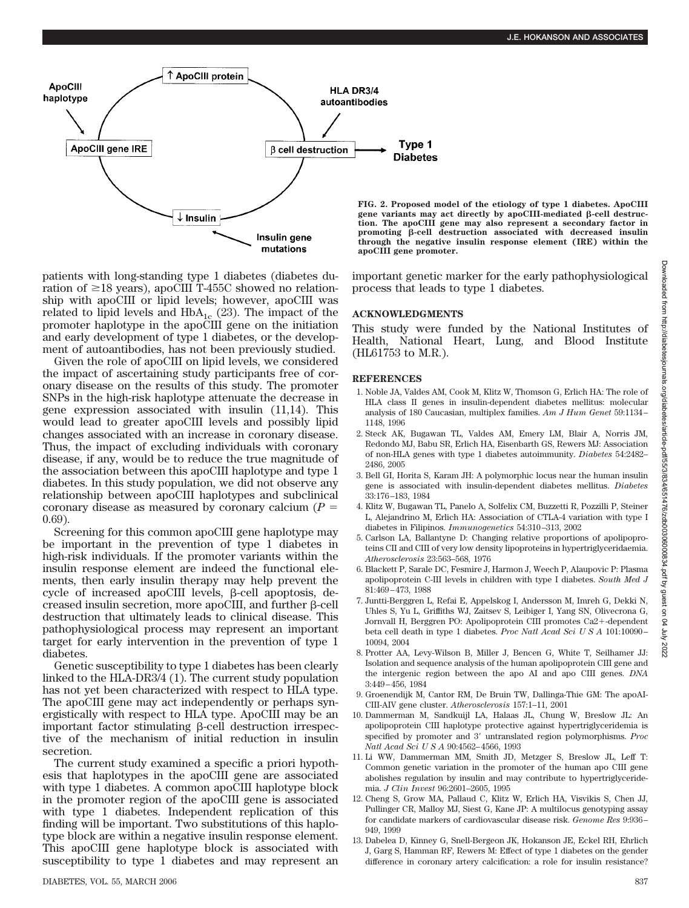

patients with long-standing type 1 diabetes (diabetes duration of  $\geq$ 18 years), apoCIII T-455C showed no relationship with apoCIII or lipid levels; however, apoCIII was related to lipid levels and  $HbA_{1c}$  (23). The impact of the promoter haplotype in the apoCIII gene on the initiation and early development of type 1 diabetes, or the development of autoantibodies, has not been previously studied.

Given the role of apoCIII on lipid levels, we considered the impact of ascertaining study participants free of coronary disease on the results of this study. The promoter SNPs in the high-risk haplotype attenuate the decrease in gene expression associated with insulin (11,14). This would lead to greater apoCIII levels and possibly lipid changes associated with an increase in coronary disease. Thus, the impact of excluding individuals with coronary disease, if any, would be to reduce the true magnitude of the association between this apoCIII haplotype and type 1 diabetes. In this study population, we did not observe any relationship between apoCIII haplotypes and subclinical coronary disease as measured by coronary calcium  $(P =$ 0.69).

Screening for this common apoCIII gene haplotype may be important in the prevention of type 1 diabetes in high-risk individuals. If the promoter variants within the insulin response element are indeed the functional elements, then early insulin therapy may help prevent the cycle of increased apoCIII levels,  $\beta$ -cell apoptosis, decreased insulin secretion, more apoCIII, and further  $\beta$ -cell destruction that ultimately leads to clinical disease. This pathophysiological process may represent an important target for early intervention in the prevention of type 1 diabetes.

Genetic susceptibility to type 1 diabetes has been clearly linked to the HLA-DR3/4 (1). The current study population has not yet been characterized with respect to HLA type. The apoCIII gene may act independently or perhaps synergistically with respect to HLA type. ApoCIII may be an important factor stimulating  $\beta$ -cell destruction irrespective of the mechanism of initial reduction in insulin secretion.

The current study examined a specific a priori hypothesis that haplotypes in the apoCIII gene are associated with type 1 diabetes. A common apoCIII haplotype block in the promoter region of the apoCIII gene is associated with type 1 diabetes. Independent replication of this finding will be important. Two substitutions of this haplotype block are within a negative insulin response element. This apoCIII gene haplotype block is associated with susceptibility to type 1 diabetes and may represent an

**FIG. 2. Proposed model of the etiology of type 1 diabetes. ApoCIII** gene variants may act directly by apoCIII-mediated  $\beta$ -cell destruc**tion. The apoCIII gene may also represent a secondary factor in** promoting  $\beta$ -cell destruction associated with decreased insulin **through the negative insulin response element (IRE) within the apoCIII gene promoter.**

important genetic marker for the early pathophysiological process that leads to type 1 diabetes.

## **ACKNOWLEDGMENTS**

This study were funded by the National Institutes of Health, National Heart, Lung, and Blood Institute (HL61753 to M.R.).

### **REFERENCES**

- 1. Noble JA, Valdes AM, Cook M, Klitz W, Thomson G, Erlich HA: The role of HLA class II genes in insulin-dependent diabetes mellitus: molecular analysis of 180 Caucasian, multiplex families. *Am J Hum Genet* 59:1134 – 1148, 1996
- 2. Steck AK, Bugawan TL, Valdes AM, Emery LM, Blair A, Norris JM, Redondo MJ, Babu SR, Erlich HA, Eisenbarth GS, Rewers MJ: Association of non-HLA genes with type 1 diabetes autoimmunity. *Diabetes* 54:2482– 2486, 2005
- 3. Bell GI, Horita S, Karam JH: A polymorphic locus near the human insulin gene is associated with insulin-dependent diabetes mellitus. *Diabetes* 33:176 –183, 1984
- 4. Klitz W, Bugawan TL, Panelo A, Solfelix CM, Buzzetti R, Pozzilli P, Steiner L, Alejandrino M, Erlich HA: Association of CTLA-4 variation with type I diabetes in Filipinos. *Immunogenetics* 54:310 –313, 2002
- 5. Carlson LA, Ballantyne D: Changing relative proportions of apolipoproteins CII and CIII of very low density lipoproteins in hypertriglyceridaemia. *Atherosclerosis* 23:563–568, 1976
- 6. Blackett P, Sarale DC, Fesmire J, Harmon J, Weech P, Alaupovic P: Plasma apolipoprotein C-III levels in children with type I diabetes. *South Med J* 81:469 – 473, 1988
- 7. Juntti-Berggren L, Refai E, Appelskog I, Andersson M, Imreh G, Dekki N, Uhles S, Yu L, Griffiths WJ, Zaitsev S, Leibiger I, Yang SN, Olivecrona G, Jornvall H, Berggren PO: Apolipoprotein CIII promotes Ca2+-dependent beta cell death in type 1 diabetes. Proc Natl Acad Sci U S A 101:10090-10094, 2004
- 8. Protter AA, Levy-Wilson B, Miller J, Bencen G, White T, Seilhamer JJ: Isolation and sequence analysis of the human apolipoprotein CIII gene and the intergenic region between the apo AI and apo CIII genes. *DNA* 3:449 – 456, 1984
- 9. Groenendijk M, Cantor RM, De Bruin TW, Dallinga-Thie GM: The apoAI-CIII-AIV gene cluster. *Atherosclerosis* 157:1–11, 2001
- 10. Dammerman M, Sandkuijl LA, Halaas JL, Chung W, Breslow JL: An apolipoprotein CIII haplotype protective against hypertriglyceridemia is specified by promoter and 3' untranslated region polymorphisms. Proc *Natl Acad SciUSA* 90:4562– 4566, 1993
- 11. Li WW, Dammerman MM, Smith JD, Metzger S, Breslow JL, Leff T: Common genetic variation in the promoter of the human apo CIII gene abolishes regulation by insulin and may contribute to hypertriglyceridemia. *J Clin Invest* 96:2601–2605, 1995
- 12. Cheng S, Grow MA, Pallaud C, Klitz W, Erlich HA, Visvikis S, Chen JJ, Pullinger CR, Malloy MJ, Siest G, Kane JP: A multilocus genotyping assay for candidate markers of cardiovascular disease risk. *Genome Res* 9:936 – 949, 1999
- 13. Dabelea D, Kinney G, Snell-Bergeon JK, Hokanson JE, Eckel RH, Ehrlich J, Garg S, Hamman RF, Rewers M: Effect of type 1 diabetes on the gender difference in coronary artery calcification: a role for insulin resistance?